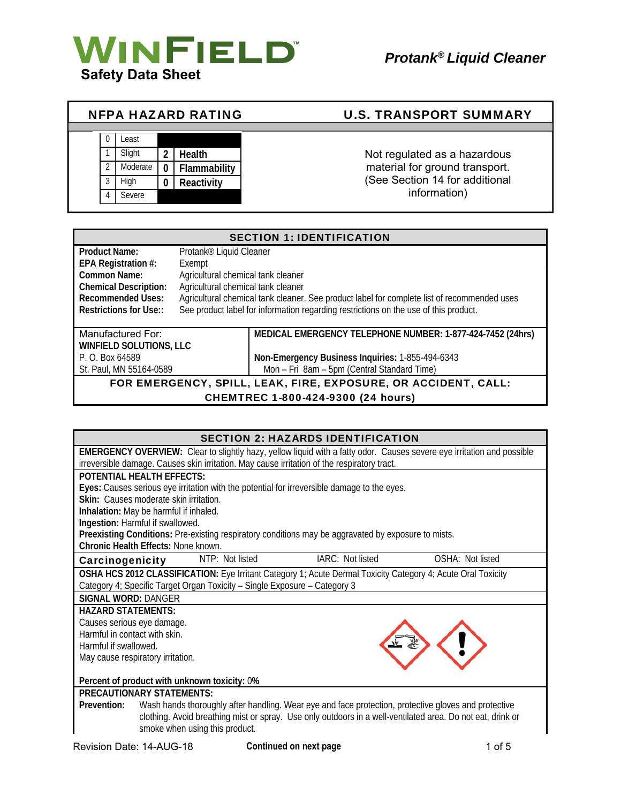

Τ

| <b>NFPA HAZARD RATING</b> |  |               |          |               | <b>U.S. TRANSPORT SUMMARY</b>  |
|---------------------------|--|---------------|----------|---------------|--------------------------------|
|                           |  |               |          |               |                                |
|                           |  | Least         |          |               |                                |
|                           |  | Slight        | 2        | <b>Health</b> | Not regulated as a hazardous   |
|                           |  | Moderate      | $\Omega$ | Flammability  | material for ground transport. |
|                           |  | High          | $\bf{0}$ | Reactivity    | (See Section 14 for additional |
|                           |  | <b>Severe</b> |          |               | information)                   |

| <b>SECTION 1: IDENTIFICATION</b>                                   |                                     |                                                                                             |
|--------------------------------------------------------------------|-------------------------------------|---------------------------------------------------------------------------------------------|
| <b>Product Name:</b>                                               | Protank <sup>®</sup> Liquid Cleaner |                                                                                             |
| EPA Registration #:                                                | Exempt                              |                                                                                             |
| Common Name:                                                       | Agricultural chemical tank cleaner  |                                                                                             |
| Agricultural chemical tank cleaner<br><b>Chemical Description:</b> |                                     |                                                                                             |
| <b>Recommended Uses:</b>                                           |                                     | Agricultural chemical tank cleaner. See product label for complete list of recommended uses |
| Restrictions for Use::                                             |                                     | See product label for information regarding restrictions on the use of this product.        |
|                                                                    |                                     |                                                                                             |
| Manufactured For:                                                  |                                     | MEDICAL EMERGENCY TELEPHONE NUMBER: 1-877-424-7452 (24hrs)                                  |
| WINFIELD SOLUTIONS, LLC                                            |                                     |                                                                                             |
| P. O. Box 64589                                                    |                                     | Non-Emergency Business Inquiries: 1-855-494-6343                                            |
| St. Paul. MN 55164-0589                                            |                                     | Mon - Fri 8am - 5pm (Central Standard Time)                                                 |
| FOR EMERGENCY, SPILL, LEAK, FIRE, EXPOSURE, OR ACCIDENT, CALL:     |                                     |                                                                                             |
| $\triangle$ LIEMTREO 4.000.404.0000. $(0.4 \text{ hours})$         |                                     |                                                                                             |

CHEMTREC 1-800-424-9300 (24 hours)

|                                              |                                                                                                              | <b>SECTION 2: HAZARDS IDENTIFICATION</b> |                                                                                                                        |
|----------------------------------------------|--------------------------------------------------------------------------------------------------------------|------------------------------------------|------------------------------------------------------------------------------------------------------------------------|
|                                              |                                                                                                              |                                          | EMERGENCY OVERVIEW: Clear to slightly hazy, yellow liquid with a fatty odor. Causes severe eye irritation and possible |
|                                              | irreversible damage. Causes skin irritation. May cause irritation of the respiratory tract.                  |                                          |                                                                                                                        |
| <b>POTENTIAL HEALTH EFFECTS:</b>             |                                                                                                              |                                          |                                                                                                                        |
|                                              | Eyes: Causes serious eye irritation with the potential for irreversible damage to the eyes.                  |                                          |                                                                                                                        |
| Skin: Causes moderate skin irritation.       |                                                                                                              |                                          |                                                                                                                        |
| Inhalation: May be harmful if inhaled.       |                                                                                                              |                                          |                                                                                                                        |
| Ingestion: Harmful if swallowed.             |                                                                                                              |                                          |                                                                                                                        |
|                                              | Preexisting Conditions: Pre-existing respiratory conditions may be aggravated by exposure to mists.          |                                          |                                                                                                                        |
| Chronic Health Effects: None known.          |                                                                                                              |                                          |                                                                                                                        |
| Carcinogenicity                              | NTP: Not listed                                                                                              | IARC: Not listed                         | OSHA: Not listed                                                                                                       |
|                                              | OSHA HCS 2012 CLASSIFICATION: Eye Irritant Category 1; Acute Dermal Toxicity Category 4; Acute Oral Toxicity |                                          |                                                                                                                        |
|                                              | Category 4; Specific Target Organ Toxicity - Single Exposure - Category 3                                    |                                          |                                                                                                                        |
| <b>SIGNAL WORD: DANGER</b>                   |                                                                                                              |                                          |                                                                                                                        |
| <b>HAZARD STATEMENTS:</b>                    |                                                                                                              |                                          |                                                                                                                        |
| Causes serious eye damage.                   |                                                                                                              |                                          |                                                                                                                        |
| Harmful in contact with skin.                |                                                                                                              |                                          |                                                                                                                        |
| Harmful if swallowed.                        |                                                                                                              |                                          |                                                                                                                        |
| May cause respiratory irritation.            |                                                                                                              |                                          |                                                                                                                        |
|                                              |                                                                                                              |                                          |                                                                                                                        |
| Percent of product with unknown toxicity: 0% |                                                                                                              |                                          |                                                                                                                        |
| <b>PRECAUTIONARY STATEMENTS:</b>             |                                                                                                              |                                          |                                                                                                                        |
| Prevention:                                  | Wash hands thoroughly after handling. Wear eye and face protection, protective gloves and protective         |                                          |                                                                                                                        |
|                                              | clothing. Avoid breathing mist or spray. Use only outdoors in a well-ventilated area. Do not eat, drink or   |                                          |                                                                                                                        |
|                                              | smoke when using this product.                                                                               |                                          |                                                                                                                        |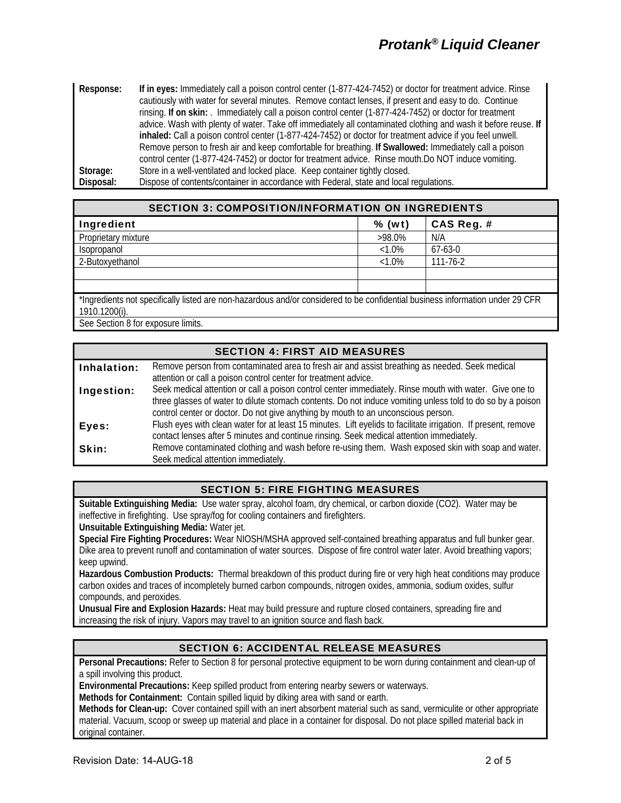**Response: If in eyes:** Immediately call a poison control center (1-877-424-7452) or doctor for treatment advice. Rinse cautiously with water for several minutes. Remove contact lenses, if present and easy to do. Continue rinsing. **If on skin:** . Immediately call a poison control center (1-877-424-7452) or doctor for treatment advice. Wash with plenty of water. Take off immediately all contaminated clothing and wash it before reuse. **If inhaled:** Call a poison control center (1-877-424-7452) or doctor for treatment advice if you feel unwell. Remove person to fresh air and keep comfortable for breathing. **If Swallowed:** Immediately call a poison control center (1-877-424-7452) or doctor for treatment advice. Rinse mouth.Do NOT induce vomiting. **Storage:** Store in a well-ventilated and locked place. Keep container tightly closed. **Disposal:** Dispose of contents/container in accordance with Federal, state and local regulations.

| <b>SECTION 3: COMPOSITION/INFORMATION ON INGREDIENTS</b>                                                                                          |           |                |
|---------------------------------------------------------------------------------------------------------------------------------------------------|-----------|----------------|
| Ingredient                                                                                                                                        | $%$ (wt)  | CAS Reg. #     |
| Proprietary mixture                                                                                                                               | $>98.0\%$ | N/A            |
| Isopropanol                                                                                                                                       | $<1.0\%$  | $67-63-0$      |
| 2-Butoxyethanol                                                                                                                                   | $<1.0\%$  | $111 - 76 - 2$ |
|                                                                                                                                                   |           |                |
|                                                                                                                                                   |           |                |
| *Ingredients not specifically listed are non-hazardous and/or considered to be confidential business information under 29 CFR<br>$1910.1200(i)$ . |           |                |

See Section 8 for exposure limits.

# SECTION 4: FIRST AID MEASURES

| Inhalation: | Remove person from contaminated area to fresh air and assist breathing as needed. Seek medical                 |
|-------------|----------------------------------------------------------------------------------------------------------------|
|             | attention or call a poison control center for treatment advice.                                                |
| Ingestion:  | Seek medical attention or call a poison control center immediately. Rinse mouth with water. Give one to        |
|             | three glasses of water to dilute stomach contents. Do not induce vomiting unless told to do so by a poison     |
|             | control center or doctor. Do not give anything by mouth to an unconscious person.                              |
| Eyes:       | Flush eyes with clean water for at least 15 minutes. Lift eyelids to facilitate irrigation. If present, remove |
|             | contact lenses after 5 minutes and continue rinsing. Seek medical attention immediately.                       |
| Skin:       | Remove contaminated clothing and wash before re-using them. Wash exposed skin with soap and water.             |
|             | Seek medical attention immediately.                                                                            |

### SECTION 5: FIRE FIGHTING MEASURES

**Suitable Extinguishing Media:** Use water spray, alcohol foam, dry chemical, or carbon dioxide (CO2). Water may be ineffective in firefighting. Use spray/fog for cooling containers and firefighters.

**Unsuitable Extinguishing Media:** Water jet.

**Special Fire Fighting Procedures:** Wear NIOSH/MSHA approved self-contained breathing apparatus and full bunker gear. Dike area to prevent runoff and contamination of water sources. Dispose of fire control water later. Avoid breathing vapors; keep upwind.

**Hazardous Combustion Products:** Thermal breakdown of this product during fire or very high heat conditions may produce carbon oxides and traces of incompletely burned carbon compounds, nitrogen oxides, ammonia, sodium oxides, sulfur compounds, and peroxides.

**Unusual Fire and Explosion Hazards:** Heat may build pressure and rupture closed containers, spreading fire and increasing the risk of injury. Vapors may travel to an ignition source and flash back.

# SECTION 6: ACCIDENTAL RELEASE MEASURES

**Personal Precautions:** Refer to Section 8 for personal protective equipment to be worn during containment and clean-up of a spill involving this product.

**Environmental Precautions:** Keep spilled product from entering nearby sewers or waterways.

**Methods for Containment:** Contain spilled liquid by diking area with sand or earth.

**Methods for Clean-up:** Cover contained spill with an inert absorbent material such as sand, vermiculite or other appropriate material. Vacuum, scoop or sweep up material and place in a container for disposal. Do not place spilled material back in original container.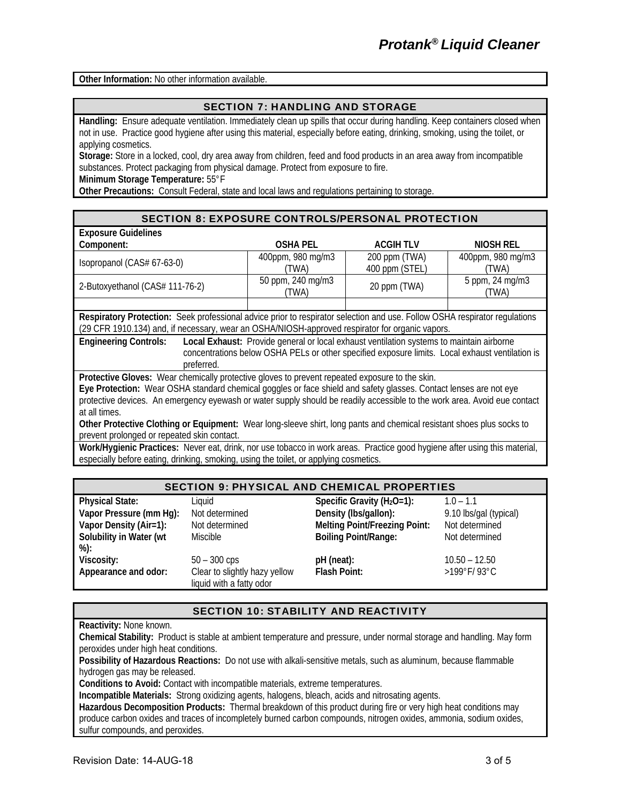**Other Information:** No other information available.

#### SECTION 7: HANDLING AND STORAGE

**Handling:** Ensure adequate ventilation. Immediately clean up spills that occur during handling. Keep containers closed when not in use. Practice good hygiene after using this material, especially before eating, drinking, smoking, using the toilet, or applying cosmetics.

**Storage:** Store in a locked, cool, dry area away from children, feed and food products in an area away from incompatible substances. Protect packaging from physical damage. Protect from exposure to fire.

**Minimum Storage Temperature:** 55°F

**Other Precautions:** Consult Federal, state and local laws and regulations pertaining to storage.

#### SECTION 8: EXPOSURE CONTROLS/PERSONAL PROTECTION

| <b>Exposure Guidelines</b>      |                            |                                 |                            |
|---------------------------------|----------------------------|---------------------------------|----------------------------|
| Component:                      | <b>OSHA PEL</b>            | <b>ACGIHTLV</b>                 | NIOSH REL                  |
| Isopropanol (CAS# 67-63-0)      | 400ppm, 980 mg/m3<br>(TWA) | 200 ppm (TWA)<br>400 ppm (STEL) | 400ppm, 980 mg/m3<br>(TWA) |
| 2-Butoxyethanol (CAS# 111-76-2) | 50 ppm, 240 mg/m3<br>TWA)  | 20 ppm (TWA)                    | 5 ppm, 24 mg/m3<br>'TWA)   |
|                                 |                            |                                 |                            |

**Respiratory Protection:** Seek professional advice prior to respirator selection and use. Follow OSHA respirator regulations (29 CFR 1910.134) and, if necessary, wear an OSHA/NIOSH-approved respirator for organic vapors.

**Engineering Controls: Local Exhaust:** Provide general or local exhaust ventilation systems to maintain airborne concentrations below OSHA PELs or other specified exposure limits. Local exhaust ventilation is preferred.

**Protective Gloves:** Wear chemically protective gloves to prevent repeated exposure to the skin.

**Eye Protection:** Wear OSHA standard chemical goggles or face shield and safety glasses. Contact lenses are not eye protective devices. An emergency eyewash or water supply should be readily accessible to the work area. Avoid eue contact at all times.

**Other Protective Clothing or Equipment:** Wear long-sleeve shirt, long pants and chemical resistant shoes plus socks to prevent prolonged or repeated skin contact.

**Work/Hygienic Practices:** Never eat, drink, nor use tobacco in work areas. Practice good hygiene after using this material, especially before eating, drinking, smoking, using the toilet, or applying cosmetics.

| <b>SECTION 9: PHYSICAL AND CHEMICAL PROPERTIES</b>                                                     |                                                                             |                                                                                                                                |                                                                           |
|--------------------------------------------------------------------------------------------------------|-----------------------------------------------------------------------------|--------------------------------------------------------------------------------------------------------------------------------|---------------------------------------------------------------------------|
| <b>Physical State:</b><br>Vapor Pressure (mm Hg):<br>Vapor Density (Air=1):<br>Solubility in Water (wt | Liquid<br>Not determined<br>Not determined<br><b>Miscible</b>               | Specific Gravity ( $H_2O=1$ ):<br>Density (Ibs/gallon):<br><b>Melting Point/Freezing Point:</b><br><b>Boiling Point/Range:</b> | $1.0 - 1.1$<br>9.10 lbs/gal (typical)<br>Not determined<br>Not determined |
| %):<br>Viscosity:<br>Appearance and odor:                                                              | $50 - 300$ cps<br>Clear to slightly hazy yellow<br>liquid with a fatty odor | pH (neat):<br><b>Flash Point:</b>                                                                                              | $10.50 - 12.50$<br>>199°F/93°C                                            |

### SECTION 10: STABILITY AND REACTIVITY

**Reactivity:** None known.

**Chemical Stability:** Product is stable at ambient temperature and pressure, under normal storage and handling. May form peroxides under high heat conditions.

**Possibility of Hazardous Reactions:** Do not use with alkali-sensitive metals, such as aluminum, because flammable hydrogen gas may be released.

**Conditions to Avoid:** Contact with incompatible materials, extreme temperatures.

**Incompatible Materials:** Strong oxidizing agents, halogens, bleach, acids and nitrosating agents.

**Hazardous Decomposition Products:** Thermal breakdown of this product during fire or very high heat conditions may produce carbon oxides and traces of incompletely burned carbon compounds, nitrogen oxides, ammonia, sodium oxides, sulfur compounds, and peroxides.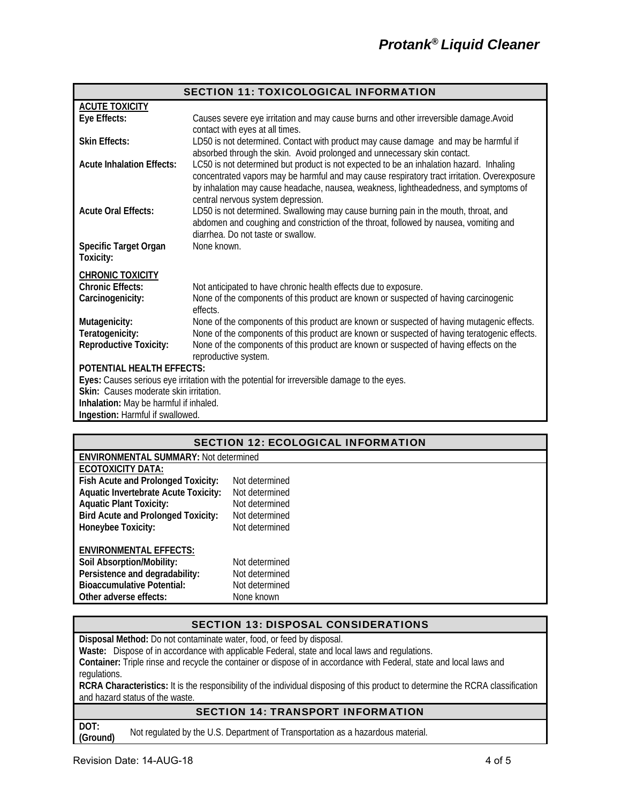| <b>SECTION 11: TOXICOLOGICAL INFORMATION</b>                                                |                                                                                                                                                                                                                                                                                |  |  |  |
|---------------------------------------------------------------------------------------------|--------------------------------------------------------------------------------------------------------------------------------------------------------------------------------------------------------------------------------------------------------------------------------|--|--|--|
| <b>ACUTE TOXICITY</b>                                                                       |                                                                                                                                                                                                                                                                                |  |  |  |
| Eye Effects:                                                                                | Causes severe eye irritation and may cause burns and other irreversible damage. Avoid<br>contact with eyes at all times.                                                                                                                                                       |  |  |  |
| <b>Skin Effects:</b>                                                                        | LD50 is not determined. Contact with product may cause damage and may be harmful if<br>absorbed through the skin. Avoid prolonged and unnecessary skin contact.                                                                                                                |  |  |  |
| <b>Acute Inhalation Effects:</b>                                                            | LC50 is not determined but product is not expected to be an inhalation hazard. Inhaling<br>concentrated vapors may be harmful and may cause respiratory tract irritation. Overexposure<br>by inhalation may cause headache, nausea, weakness, lightheadedness, and symptoms of |  |  |  |
| <b>Acute Oral Effects:</b>                                                                  | central nervous system depression.<br>LD50 is not determined. Swallowing may cause burning pain in the mouth, throat, and<br>abdomen and coughing and constriction of the throat, followed by nausea, vomiting and<br>diarrhea. Do not taste or swallow.                       |  |  |  |
| Specific Target Organ<br>Toxicity:                                                          | None known.                                                                                                                                                                                                                                                                    |  |  |  |
| <b>CHRONIC TOXICITY</b>                                                                     |                                                                                                                                                                                                                                                                                |  |  |  |
| <b>Chronic Effects:</b>                                                                     | Not anticipated to have chronic health effects due to exposure.                                                                                                                                                                                                                |  |  |  |
| Carcinogenicity:                                                                            | None of the components of this product are known or suspected of having carcinogenic<br>effects.                                                                                                                                                                               |  |  |  |
| Mutagenicity:                                                                               | None of the components of this product are known or suspected of having mutagenic effects.                                                                                                                                                                                     |  |  |  |
| Teratogenicity:                                                                             | None of the components of this product are known or suspected of having teratogenic effects.                                                                                                                                                                                   |  |  |  |
| <b>Reproductive Toxicity:</b>                                                               | None of the components of this product are known or suspected of having effects on the<br>reproductive system.                                                                                                                                                                 |  |  |  |
| <b>POTENTIAL HEALTH EFFECTS:</b>                                                            |                                                                                                                                                                                                                                                                                |  |  |  |
| Eyes: Causes serious eye irritation with the potential for irreversible damage to the eyes. |                                                                                                                                                                                                                                                                                |  |  |  |
| Skin: Causes moderate skin irritation.                                                      |                                                                                                                                                                                                                                                                                |  |  |  |
| Inhalation: May be harmful if inhaled.                                                      |                                                                                                                                                                                                                                                                                |  |  |  |
| Ingestion: Harmful if swallowed.                                                            |                                                                                                                                                                                                                                                                                |  |  |  |

| <b>SECTION 12: ECOLOGICAL INFORMATION</b>   |                                              |  |  |  |
|---------------------------------------------|----------------------------------------------|--|--|--|
|                                             | <b>ENVIRONMENTAL SUMMARY: Not determined</b> |  |  |  |
| ECOTOXICITY DATA:                           |                                              |  |  |  |
| Fish Acute and Prolonged Toxicity:          | Not determined                               |  |  |  |
| <b>Aquatic Invertebrate Acute Toxicity:</b> | Not determined                               |  |  |  |
| <b>Aquatic Plant Toxicity:</b>              | Not determined                               |  |  |  |
| <b>Bird Acute and Prolonged Toxicity:</b>   | Not determined                               |  |  |  |
| Honeybee Toxicity:                          | Not determined                               |  |  |  |
| <b>ENVIRONMENTAL EFFECTS:</b>               |                                              |  |  |  |
| Soil Absorption/Mobility:                   | Not determined                               |  |  |  |
| Persistence and degradability:              | Not determined                               |  |  |  |
| <b>Bioaccumulative Potential:</b>           | Not determined                               |  |  |  |
| Other adverse effects:                      | None known                                   |  |  |  |

### SECTION 13: DISPOSAL CONSIDERATIONS

**Disposal Method:** Do not contaminate water, food, or feed by disposal.

**Waste:** Dispose of in accordance with applicable Federal, state and local laws and regulations.

**Container:** Triple rinse and recycle the container or dispose of in accordance with Federal, state and local laws and regulations.

**RCRA Characteristics:** It is the responsibility of the individual disposing of this product to determine the RCRA classification and hazard status of the waste.

## SECTION 14: TRANSPORT INFORMATION

DOT:<br>(Ground)

Not regulated by the U.S. Department of Transportation as a hazardous material.